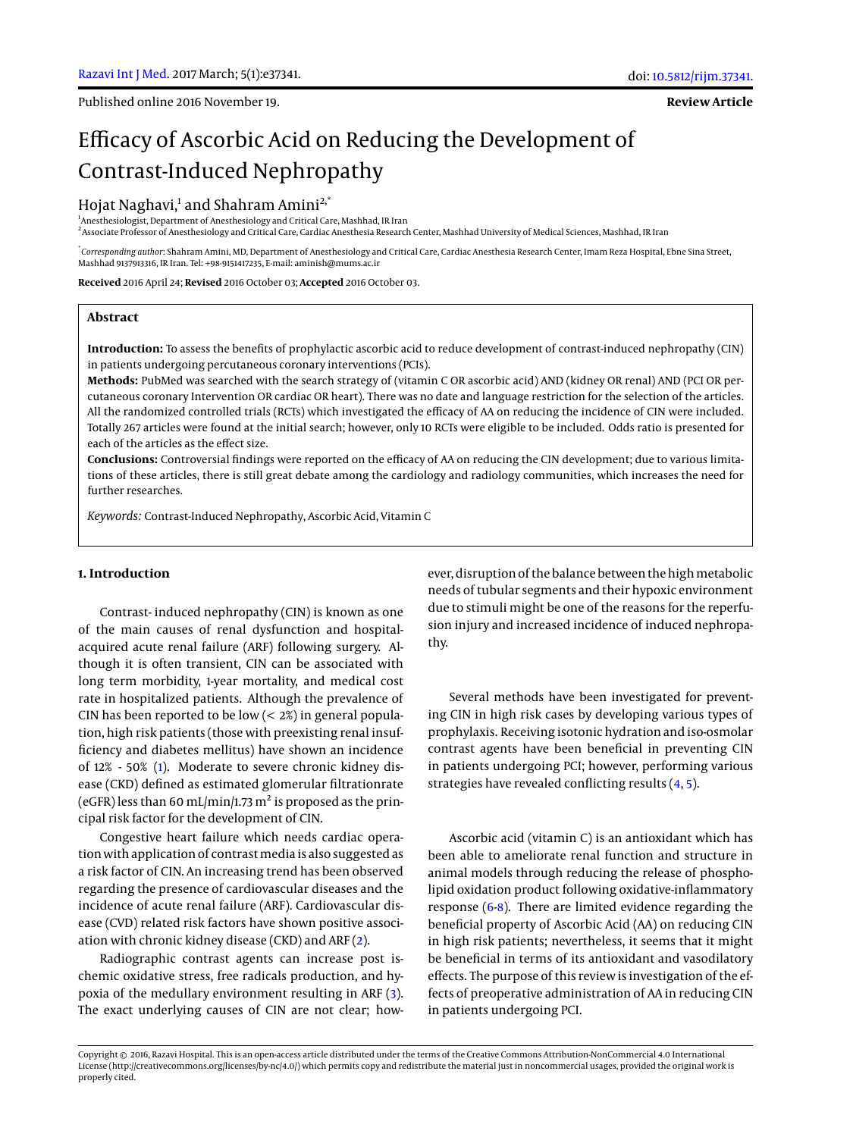Published online 2016 November 19.

**Review Article**

# Efficacy of Ascorbic Acid on Reducing the Development of Contrast-Induced Nephropathy

## Hojat Naghavi,<sup>1</sup> and Shahram Amini<sup>2,\*</sup>

<sup>1</sup> Anesthesiologist, Department of Anesthesiology and Critical Care, Mashhad, IR Iran 2 Associate Professor of Anesthesiology and Critical Care, Cardiac Anesthesia Research Center, Mashhad University of Medical Sciences, Mashhad, IR Iran

\* *Corresponding author*: Shahram Amini, MD, Department of Anesthesiology and Critical Care, Cardiac Anesthesia Research Center, Imam Reza Hospital, Ebne Sina Street, Mashhad 9137913316, IR Iran. Tel: +98-9151417235, E-mail: aminish@mums.ac.ir

**Received** 2016 April 24; **Revised** 2016 October 03; **Accepted** 2016 October 03.

### **Abstract**

**Introduction:** To assess the benefits of prophylactic ascorbic acid to reduce development of contrast-induced nephropathy (CIN) in patients undergoing percutaneous coronary interventions (PCIs).

**Methods:** PubMed was searched with the search strategy of (vitamin C OR ascorbic acid) AND (kidney OR renal) AND (PCI OR percutaneous coronary Intervention OR cardiac OR heart). There was no date and language restriction for the selection of the articles. All the randomized controlled trials (RCTs) which investigated the efficacy of AA on reducing the incidence of CIN were included. Totally 267 articles were found at the initial search; however, only 10 RCTs were eligible to be included. Odds ratio is presented for each of the articles as the effect size.

**Conclusions:** Controversial findings were reported on the efficacy of AA on reducing the CIN development; due to various limitations of these articles, there is still great debate among the cardiology and radiology communities, which increases the need for further researches.

*Keywords:* Contrast-Induced Nephropathy, Ascorbic Acid, Vitamin C

#### **1. Introduction**

Contrast- induced nephropathy (CIN) is known as one of the main causes of renal dysfunction and hospitalacquired acute renal failure (ARF) following surgery. Although it is often transient, CIN can be associated with long term morbidity, 1-year mortality, and medical cost rate in hospitalized patients. Although the prevalence of CIN has been reported to be low  $(< 2\%)$  in general population, high risk patients (those with preexisting renal insufficiency and diabetes mellitus) have shown an incidence of 12% - 50% [\(1\)](#page-4-0). Moderate to severe chronic kidney disease (CKD) defined as estimated glomerular filtrationrate (eGFR) less than 60 mL/min/1.73 m<sup>2</sup> is proposed as the principal risk factor for the development of CIN.

Congestive heart failure which needs cardiac operation with application of contrast media is also suggested as a risk factor of CIN. An increasing trend has been observed regarding the presence of cardiovascular diseases and the incidence of acute renal failure (ARF). Cardiovascular disease (CVD) related risk factors have shown positive association with chronic kidney disease (CKD) and ARF [\(2\)](#page-4-1).

Radiographic contrast agents can increase post ischemic oxidative stress, free radicals production, and hypoxia of the medullary environment resulting in ARF [\(3\)](#page-4-2). The exact underlying causes of CIN are not clear; however, disruption of the balance between the high metabolic needs of tubular segments and their hypoxic environment due to stimuli might be one of the reasons for the reperfusion injury and increased incidence of induced nephropathy.

Several methods have been investigated for preventing CIN in high risk cases by developing various types of prophylaxis. Receiving isotonic hydration and iso-osmolar contrast agents have been beneficial in preventing CIN in patients undergoing PCI; however, performing various strategies have revealed conflicting results [\(4,](#page-4-3) [5\)](#page-4-4).

Ascorbic acid (vitamin C) is an antioxidant which has been able to ameliorate renal function and structure in animal models through reducing the release of phospholipid oxidation product following oxidative-inflammatory response [\(6](#page-4-5)[-8\)](#page-4-6). There are limited evidence regarding the beneficial property of Ascorbic Acid (AA) on reducing CIN in high risk patients; nevertheless, it seems that it might be beneficial in terms of its antioxidant and vasodilatory effects. The purpose of this review is investigation of the effects of preoperative administration of AA in reducing CIN in patients undergoing PCI.

Copyright © 2016, Razavi Hospital. This is an open-access article distributed under the terms of the Creative Commons Attribution-NonCommercial 4.0 International License (http://creativecommons.org/licenses/by-nc/4.0/) which permits copy and redistribute the material just in noncommercial usages, provided the original work is properly cited.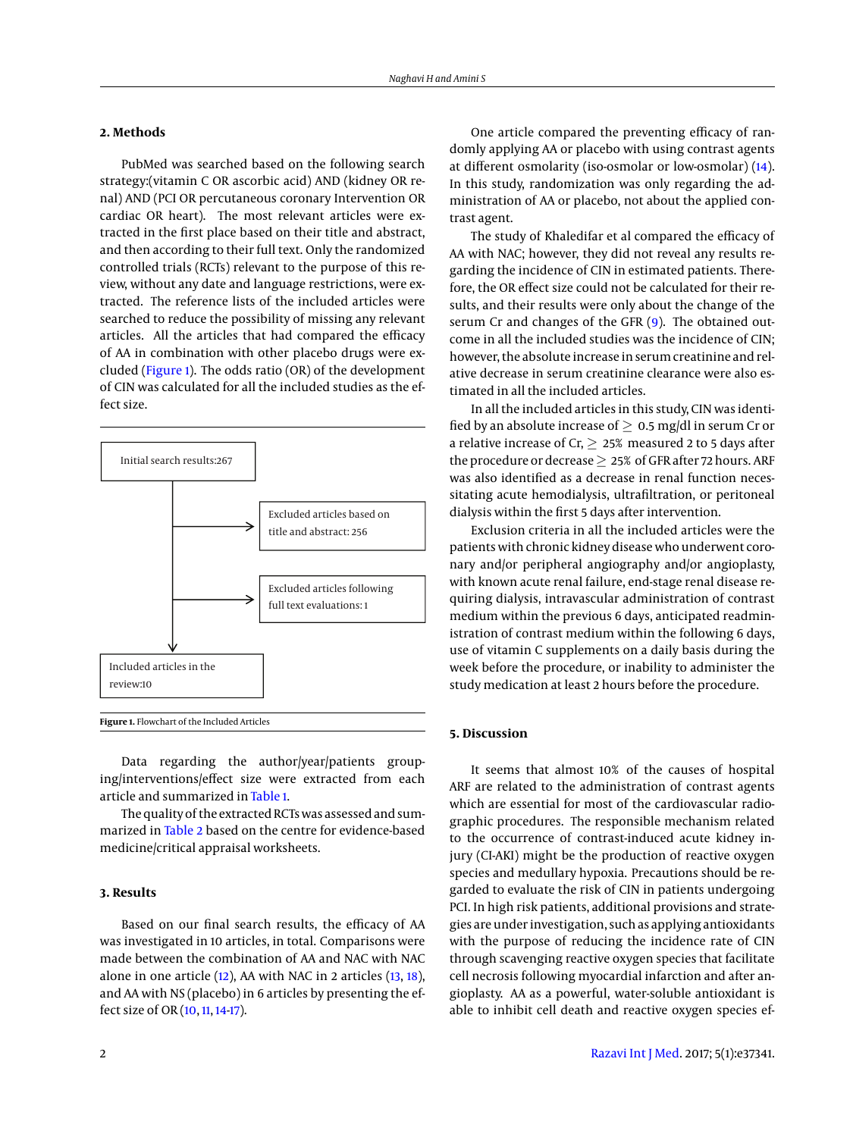## **2. Methods**

PubMed was searched based on the following search strategy:(vitamin C OR ascorbic acid) AND (kidney OR renal) AND (PCI OR percutaneous coronary Intervention OR cardiac OR heart). The most relevant articles were extracted in the first place based on their title and abstract, and then according to their full text. Only the randomized controlled trials (RCTs) relevant to the purpose of this review, without any date and language restrictions, were extracted. The reference lists of the included articles were searched to reduce the possibility of missing any relevant articles. All the articles that had compared the efficacy of AA in combination with other placebo drugs were excluded [\(Figure 1\)](#page-1-0). The odds ratio (OR) of the development of CIN was calculated for all the included studies as the effect size.

<span id="page-1-0"></span>

Data regarding the author/year/patients grouping/interventions/effect size were extracted from each article and summarized in [Table 1.](#page-2-0)

The quality of the extracted RCTs was assessed and summarized in [Table 2](#page-3-0) based on the centre for evidence-based medicine/critical appraisal worksheets.

### **3. Results**

Based on our final search results, the efficacy of AA was investigated in 10 articles, in total. Comparisons were made between the combination of AA and NAC with NAC alone in one article  $(12)$ , AA with NAC in 2 articles  $(13, 18)$  $(13, 18)$  $(13, 18)$ , and AA with NS (placebo) in 6 articles by presenting the effect size of OR [\(10,](#page-4-10) [11,](#page-4-11) [14-](#page-4-12)[17\)](#page-4-13).

One article compared the preventing efficacy of randomly applying AA or placebo with using contrast agents at different osmolarity (iso-osmolar or low-osmolar) [\(14\)](#page-4-12). In this study, randomization was only regarding the administration of AA or placebo, not about the applied contrast agent.

The study of Khaledifar et al compared the efficacy of AA with NAC; however, they did not reveal any results regarding the incidence of CIN in estimated patients. Therefore, the OR effect size could not be calculated for their results, and their results were only about the change of the serum Cr and changes of the GFR [\(9\)](#page-4-14). The obtained outcome in all the included studies was the incidence of CIN; however, the absolute increase in serum creatinine and relative decrease in serum creatinine clearance were also estimated in all the included articles.

In all the included articles in this study, CIN was identified by an absolute increase of  $> 0.5$  mg/dl in serum Cr or a relative increase of Cr,  $\geq 25\%$  measured 2 to 5 days after the procedure or decrease  $\geq 25\%$  of GFR after 72 hours. ARF was also identified as a decrease in renal function necessitating acute hemodialysis, ultrafiltration, or peritoneal dialysis within the first 5 days after intervention.

Exclusion criteria in all the included articles were the patients with chronic kidney disease who underwent coronary and/or peripheral angiography and/or angioplasty, with known acute renal failure, end-stage renal disease requiring dialysis, intravascular administration of contrast medium within the previous 6 days, anticipated readministration of contrast medium within the following 6 days, use of vitamin C supplements on a daily basis during the week before the procedure, or inability to administer the study medication at least 2 hours before the procedure.

#### **5. Discussion**

It seems that almost 10% of the causes of hospital ARF are related to the administration of contrast agents which are essential for most of the cardiovascular radiographic procedures. The responsible mechanism related to the occurrence of contrast-induced acute kidney injury (CI-AKI) might be the production of reactive oxygen species and medullary hypoxia. Precautions should be regarded to evaluate the risk of CIN in patients undergoing PCI. In high risk patients, additional provisions and strategies are under investigation, such as applying antioxidants with the purpose of reducing the incidence rate of CIN through scavenging reactive oxygen species that facilitate cell necrosis following myocardial infarction and after angioplasty. AA as a powerful, water-soluble antioxidant is able to inhibit cell death and reactive oxygen species ef-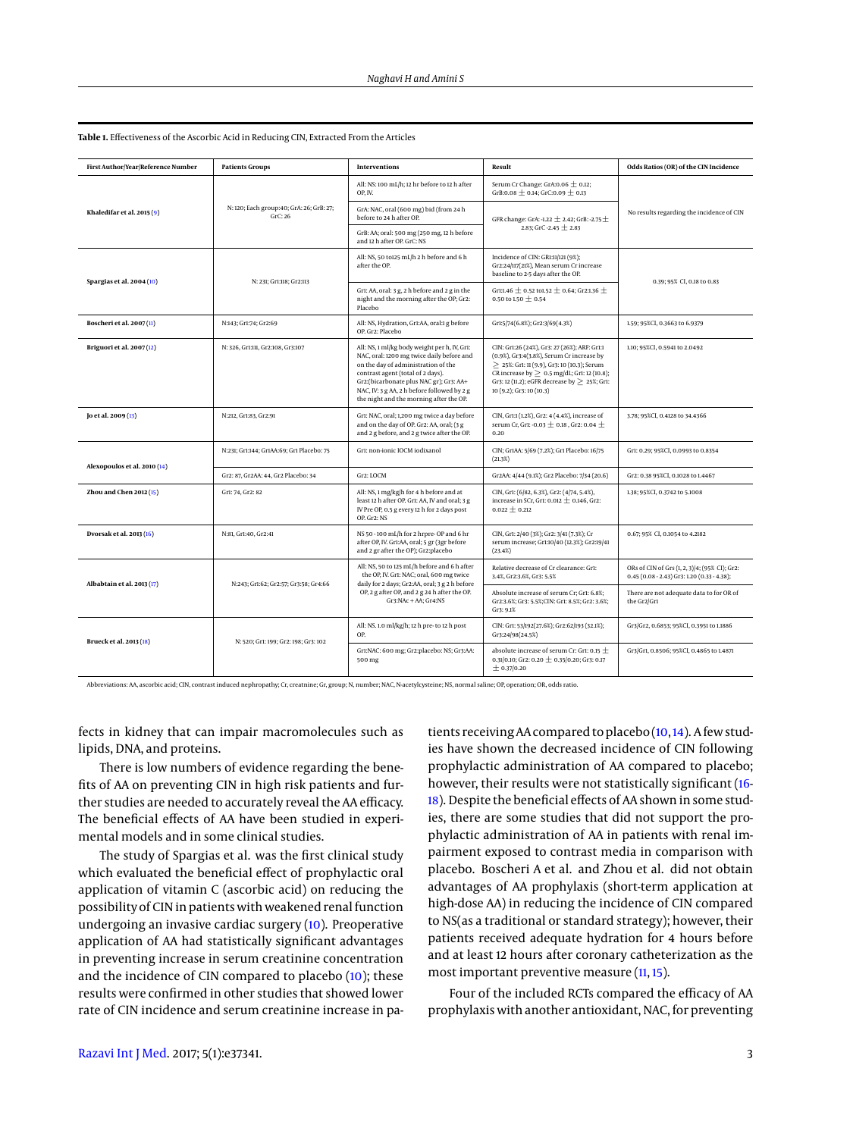| First Author/Year/Reference Number | <b>Patients Groups</b>                             | <b>Interventions</b>                                                                                                                                                                                                                                                                                       | Result                                                                                                                                                                                                                                                                | Odds Ratios (OR) of the CIN Incidence                                                         |  |
|------------------------------------|----------------------------------------------------|------------------------------------------------------------------------------------------------------------------------------------------------------------------------------------------------------------------------------------------------------------------------------------------------------------|-----------------------------------------------------------------------------------------------------------------------------------------------------------------------------------------------------------------------------------------------------------------------|-----------------------------------------------------------------------------------------------|--|
|                                    |                                                    | All: NS: 100 mL/h; 12 hr before to 12 h after<br>OP, IV.                                                                                                                                                                                                                                                   | Serum Cr Change: GrA: 0.06 $\pm$ 0.12;<br>GrB:0.08 $\pm$ 0.14; GrC:0.09 $\pm$ 0.13                                                                                                                                                                                    |                                                                                               |  |
| Khaledifar et al. $2015(9)$        | N: 120; Each group:40; GrA: 26; GrB: 27;<br>GrC:26 | GrA: NAC, oral (600 mg) bid (from 24 h<br>before to 24 h after OP.                                                                                                                                                                                                                                         | GFR change: GrA: -1.22 $\pm$ 2.42; GrB: -2.75 $\pm$                                                                                                                                                                                                                   | No results regarding the incidence of CIN                                                     |  |
|                                    |                                                    | GrB: AA; oral: 500 mg (250 mg, 12 h before<br>and 12 h after OP, GrC: NS                                                                                                                                                                                                                                   | 2.83: GrC -2.45 $+$ 2.83                                                                                                                                                                                                                                              |                                                                                               |  |
| Spargias et al. 2004 (10)          | N: 231; Gr1:118; Gr2:113                           | All: NS, 50 to125 mL/h 2 h before and 6 h<br>after the OP.                                                                                                                                                                                                                                                 | Incidence of CIN: GR1:11/121 (9%);<br>Gr2:24/117(21%), Mean serum Cr increase<br>baseline to 2-5 days after the OP.                                                                                                                                                   | 0.39; 95% CI, 0.18 to 0.83                                                                    |  |
|                                    |                                                    | Gr1: AA, oral: 3 g, 2 h before and 2 g in the<br>night and the morning after the OP; Gr2:<br>Placebo                                                                                                                                                                                                       | Gr1:1.46 ± 0.52 to1.52 ± 0.64; Gr2:1.36 ±<br>0.50 to 1.50 $\pm$ 0.54                                                                                                                                                                                                  |                                                                                               |  |
| Boscheri et al. 2007(II)           | N:143; Gr1:74; Gr2:69                              | All: NS, Hydration, Gr1:AA, oral:1 g before<br>OP. Gr2: Placebo                                                                                                                                                                                                                                            | Gr1:5/74(6.8%); Gr2:3/69(4.3%)                                                                                                                                                                                                                                        | 1.59; 95%CI, 0.3663 to 6.9379                                                                 |  |
| Briguori et al. 2007(12)           | N: 326, Gr1:111, Gr2:108, Gr3:107                  | All: NS, 1 ml/kg body weight per h, IV, Gr1:<br>NAC, oral: 1200 mg twice daily before and<br>on the day of administration of the<br>contrast agent (total of 2 days).<br>Gr2:(bicarbonate plus NAC gr); Gr3: AA+<br>NAC, IV: 3 g AA, 2 h before followed by 2 g<br>the night and the morning after the OP. | CIN: Gr1:26 (24%), Gr3: 27 (26%); ARF: Gr1:1<br>(0.9%), Gr3:4(3.8%), Serum Cr increase by<br>> 25%: Gr1: 11 (9.9), Gr3: 10 (10.3); Serum<br>CR increase by $> 0.5$ mg/dL; Gr1: 12 (10.8);<br>Gr3: 12 (11.2); eGFR decrease by > 25%; Gr1:<br>10 (9.2); Gr3: 10 (10.3) | 1.10; 95%CI, 0.5941 to 2.0492                                                                 |  |
| [0 et al. 2009(13)]                | N:212, Gr1:83, Gr2:91                              | Gr1: NAC, oral; 1,200 mg twice a day before<br>and on the day of OP. Gr2: AA, oral; (3 g<br>and 2 g before, and 2 g twice after the OP.                                                                                                                                                                    | CIN, Gr1:1 (1.2%), Gr2: 4 (4.4%), increase of<br>serum Cr, Gr1: -0.03 $\pm$ 0.18 , Gr2: 0.04 $\pm$<br>0.20                                                                                                                                                            | 3.78; 95%CI, 0.4128 to 34.4366                                                                |  |
| Alexopoulos et al. 2010 (14)       | N:231; Gr1:144; Gr1AA:69; Gr1 Placebo: 75          | Gr1: non-ionic IOCM iodixanol                                                                                                                                                                                                                                                                              | CIN; Gr1AA: 5/69 (7.2%); Gr1 Placebo: 16/75<br>(21.3%)                                                                                                                                                                                                                | Gr1: 0.29; 95%CI, 0.0993 to 0.8354                                                            |  |
|                                    | Gr2: 87, Gr2AA: 44, Gr2 Placebo: 34                | Gr2: LOCM                                                                                                                                                                                                                                                                                                  | Gr2AA: 4/44 (9.1%); Gr2 Placebo: 7/34 (20.6)                                                                                                                                                                                                                          | Gr2: 0.38 95%CI, 0.1028 to 1.4467                                                             |  |
| <b>Zhou and Chen 2012 (15)</b>     | Gr1: 74, Gr2: 82                                   | All: NS, 1 mg/kg/h for 4 h before and at<br>least 12 h after OP. Gr1: AA, IV and oral; 3 g<br>IV Pre OP, 0.5 g every 12 h for 2 days post<br>OP. Gr2: NS                                                                                                                                                   | CIN, Gr1: (6/82, 6.3%), Gr2: (4/74, 5.4%),<br>increase in SCr, Gr1: 0.012 $\pm$ 0.146, Gr2:<br>$0.022 \pm 0.212$                                                                                                                                                      | 1.38; 95%CI, 0.3742 to 5.1008                                                                 |  |
| Dvorsak et al. 2013 (16)           | N:81, Gr1:40, Gr2:41                               | NS 50 - 100 mL/h for 2 hrpre- OP and 6 hr<br>after OP, IV. Gr1:AA, oral; 5 gr (3gr before<br>and 2 gr after the OP); Gr2:placebo                                                                                                                                                                           | CIN, Gr1: 2/40 (3%); Gr2: 3/41 (7.3%); Cr<br>serum increase; Gr1:10/40 (12.3%); Gr2:19/41<br>(23.4%)                                                                                                                                                                  | 0.67; 95% CI, 0.1054 to 4.2182                                                                |  |
| Albabtain et al. 2013 (17)         | N:243; Gr1:62; Gr2:57; Gr3:58; Gr4:66              | All: NS, 50 to 125 mL/h before and 6 h after<br>the OP, IV. Gr1: NAC; oral, 600 mg twice<br>daily for 2 days; Gr2:AA, oral; 3 g 2 h before<br>OP, 2 g after OP, and 2 g 24 h after the OP.<br>Gr3:NAc + AA; Gr4:NS                                                                                         | Relative decrease of Cr clearance: Gr1:<br>3.4%, Gr2:3.6%, Gr3: 5.5%                                                                                                                                                                                                  | ORs of CIN of Grs (1, 2, 3)/4; (95% CI); Gr2:<br>$0.45(0.08 - 2.43)$ Gr3: 1.20 (0.33 - 4.38); |  |
|                                    |                                                    |                                                                                                                                                                                                                                                                                                            | Absolute increase of serum Cr; Gr1: 6.8%;<br>Gr2:3.6%; Gr3: 5.5%; CIN: Gr1: 8.5%; Gr2: 3.6%;<br>Gr3: 9.1%                                                                                                                                                             | There are not adequate data to for OR of<br>the Gr2/Gr1                                       |  |
| Brueck et al. 2013 (18)            | N: 520; Gr1: 199; Gr2: 198; Gr3: 102               | All: NS. 1.0 ml/kg/h; 12 h pre- to 12 h post<br>OP.                                                                                                                                                                                                                                                        | CIN: Gr1: 53/192(27.6%); Gr2:62/193 (32.1%);<br>Gr3:24/98(24.5%)                                                                                                                                                                                                      | Gr3/Gr2, 0.6853; 95%CI, 0.3951 to 1.1886                                                      |  |
|                                    |                                                    | Gr1:NAC: 600 mg; Gr2:placebo: NS; Gr3:AA:<br>500 mg                                                                                                                                                                                                                                                        | absolute increase of serum Cr: Gr1: 0.15 $\pm$<br>0.31/0.10; Gr2: 0.20 $\pm$ 0.35/0.20; Gr3: 0.17<br>± 0.37/0.20                                                                                                                                                      | Gr3/Gr1, 0.8506; 95%CI, 0.4865 to 1.4871                                                      |  |

<span id="page-2-0"></span>**Table 1.** Effectiveness of the Ascorbic Acid in Reducing CIN, Extracted From the Articles

Abbreviations: AA, ascorbic acid; CIN, contrast induced nephropathy; Cr, creatnine; Gr, group; N, number; NAC, N-acetylcysteine; NS, normal saline; OP, operation; OR, odds ratio.

fects in kidney that can impair macromolecules such as lipids, DNA, and proteins.

There is low numbers of evidence regarding the benefits of AA on preventing CIN in high risk patients and further studies are needed to accurately reveal the AA efficacy. The beneficial effects of AA have been studied in experimental models and in some clinical studies.

The study of Spargias et al. was the first clinical study which evaluated the beneficial effect of prophylactic oral application of vitamin C (ascorbic acid) on reducing the possibility of CIN in patients with weakened renal function undergoing an invasive cardiac surgery [\(10\)](#page-4-10). Preoperative application of AA had statistically significant advantages in preventing increase in serum creatinine concentration and the incidence of CIN compared to placebo [\(10\)](#page-4-10); these results were confirmed in other studies that showed lower rate of CIN incidence and serum creatinine increase in pa-

tients receiving AA compared to placebo [\(10,](#page-4-10)[14\)](#page-4-12). A few studies have shown the decreased incidence of CIN following prophylactic administration of AA compared to placebo; however, their results were not statistically significant [\(16-](#page-4-16) [18\)](#page-4-9). Despite the beneficial effects of AA shown in some studies, there are some studies that did not support the prophylactic administration of AA in patients with renal impairment exposed to contrast media in comparison with placebo. Boscheri A et al. and Zhou et al. did not obtain advantages of AA prophylaxis (short-term application at high-dose AA) in reducing the incidence of CIN compared to NS(as a traditional or standard strategy); however, their patients received adequate hydration for 4 hours before and at least 12 hours after coronary catheterization as the most important preventive measure [\(11,](#page-4-11) [15\)](#page-4-15).

Four of the included RCTs compared the efficacy of AA prophylaxis with another antioxidant, NAC, for preventing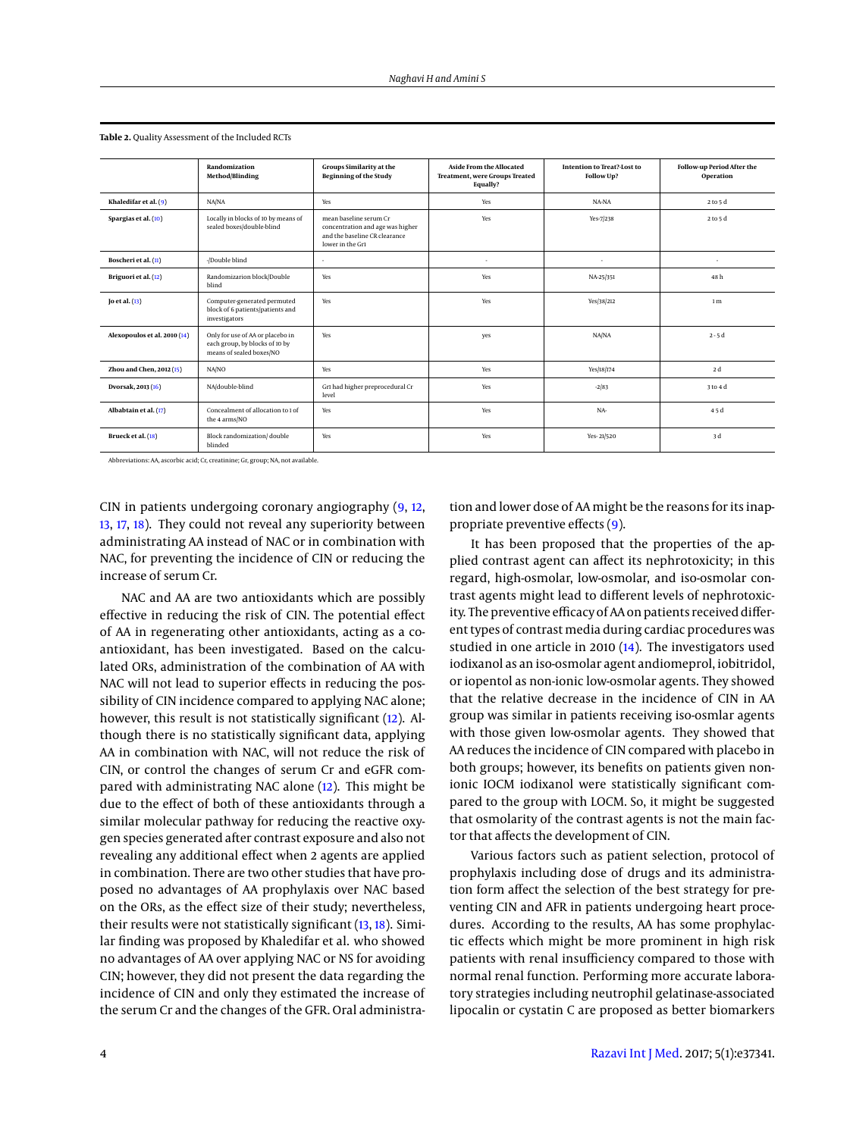|                              | Randomization<br><b>Method/Blinding</b>                                                        | <b>Groups Similarity at the</b><br><b>Beginning of the Study</b>                                                | Aside From the Allocated<br>Treatment, were Groups Treated<br>Equally? | Intention to Treat?-Lost to<br>Follow Up? | Follow-up Period After the<br>Operation |
|------------------------------|------------------------------------------------------------------------------------------------|-----------------------------------------------------------------------------------------------------------------|------------------------------------------------------------------------|-------------------------------------------|-----------------------------------------|
| Khaledifar et al. (9)        | NA/NA                                                                                          | Yes                                                                                                             | Yes                                                                    | NA-NA                                     | 2 to 5 d                                |
| Spargias et al. (10)         | Locally in blocks of 10 by means of<br>sealed boxes/double-blind                               | mean baseline serum Cr<br>concentration and age was higher<br>and the baseline CR clearance<br>lower in the Gr1 | Yes                                                                    | Yes-7/238                                 | 2 to 5 d                                |
| Boscheri et al. (11)         | -/Double blind                                                                                 | ٠                                                                                                               | ٠                                                                      | $\cdot$                                   | ٠                                       |
| Briguori et al. (12)         | Randomizarion block/Double<br>blind                                                            | Yes                                                                                                             | Yes                                                                    | NA-25/351                                 | 48h                                     |
| [0 et al. (13)]              | Computer-generated permuted<br>block of 6 patients/patients and<br>investigators               | Yes                                                                                                             | Yes                                                                    | Yes/38/212                                | 1 <sub>m</sub>                          |
| Alexopoulos et al. 2010 (14) | Only for use of AA or placebo in<br>each group, by blocks of 10 by<br>means of sealed boxes/NO | Yes                                                                                                             | yes                                                                    | NA/NA                                     | $2 - 5d$                                |
| Zhou and Chen, 2012 (15)     | NA/NO                                                                                          | Yes                                                                                                             | Yes                                                                    | Yes/18/174                                | 2 d                                     |
| Dvorsak, 2013 (16)           | NA/double-blind                                                                                | Gr1 had higher preprocedural Cr<br>level                                                                        | Yes                                                                    | $-2/83$                                   | 3 to 4 d                                |
| Albabtain et al. (17)        | Concealment of allocation to 1 of<br>the 4 arms/NO                                             | Yes                                                                                                             | Yes                                                                    | NA-                                       | 45d                                     |
| Brueck et al. (18)           | Block randomization/double<br>blinded                                                          | Yes                                                                                                             | Yes                                                                    | Yes-21/520                                | 3 d                                     |

<span id="page-3-0"></span>**Table 2.** Quality Assessment of the Included RCTs

Abbreviations: AA, ascorbic acid; Cr, creatinine; Gr, group; NA, not available.

CIN in patients undergoing coronary angiography [\(9,](#page-4-14) [12,](#page-4-7) [13,](#page-4-8) [17,](#page-4-13) [18\)](#page-4-9). They could not reveal any superiority between administrating AA instead of NAC or in combination with NAC, for preventing the incidence of CIN or reducing the increase of serum Cr.

NAC and AA are two antioxidants which are possibly effective in reducing the risk of CIN. The potential effect of AA in regenerating other antioxidants, acting as a coantioxidant, has been investigated. Based on the calculated ORs, administration of the combination of AA with NAC will not lead to superior effects in reducing the possibility of CIN incidence compared to applying NAC alone; however, this result is not statistically significant [\(12\)](#page-4-7). Although there is no statistically significant data, applying AA in combination with NAC, will not reduce the risk of CIN, or control the changes of serum Cr and eGFR compared with administrating NAC alone [\(12\)](#page-4-7). This might be due to the effect of both of these antioxidants through a similar molecular pathway for reducing the reactive oxygen species generated after contrast exposure and also not revealing any additional effect when 2 agents are applied in combination. There are two other studies that have proposed no advantages of AA prophylaxis over NAC based on the ORs, as the effect size of their study; nevertheless, their results were not statistically significant [\(13,](#page-4-8) [18\)](#page-4-9). Similar finding was proposed by Khaledifar et al. who showed no advantages of AA over applying NAC or NS for avoiding CIN; however, they did not present the data regarding the incidence of CIN and only they estimated the increase of the serum Cr and the changes of the GFR. Oral administration and lower dose of AA might be the reasons for its inappropriate preventive effects [\(9\)](#page-4-14).

It has been proposed that the properties of the applied contrast agent can affect its nephrotoxicity; in this regard, high-osmolar, low-osmolar, and iso-osmolar contrast agents might lead to different levels of nephrotoxicity. The preventive efficacy of AA on patients received different types of contrast media during cardiac procedures was studied in one article in 2010 [\(14\)](#page-4-12). The investigators used iodixanol as an iso-osmolar agent andiomeprol, iobitridol, or iopentol as non-ionic low-osmolar agents. They showed that the relative decrease in the incidence of CIN in AA group was similar in patients receiving iso-osmlar agents with those given low-osmolar agents. They showed that AA reduces the incidence of CIN compared with placebo in both groups; however, its benefits on patients given nonionic IOCM iodixanol were statistically significant compared to the group with LOCM. So, it might be suggested that osmolarity of the contrast agents is not the main factor that affects the development of CIN.

Various factors such as patient selection, protocol of prophylaxis including dose of drugs and its administration form affect the selection of the best strategy for preventing CIN and AFR in patients undergoing heart procedures. According to the results, AA has some prophylactic effects which might be more prominent in high risk patients with renal insufficiency compared to those with normal renal function. Performing more accurate laboratory strategies including neutrophil gelatinase-associated lipocalin or cystatin C are proposed as better biomarkers